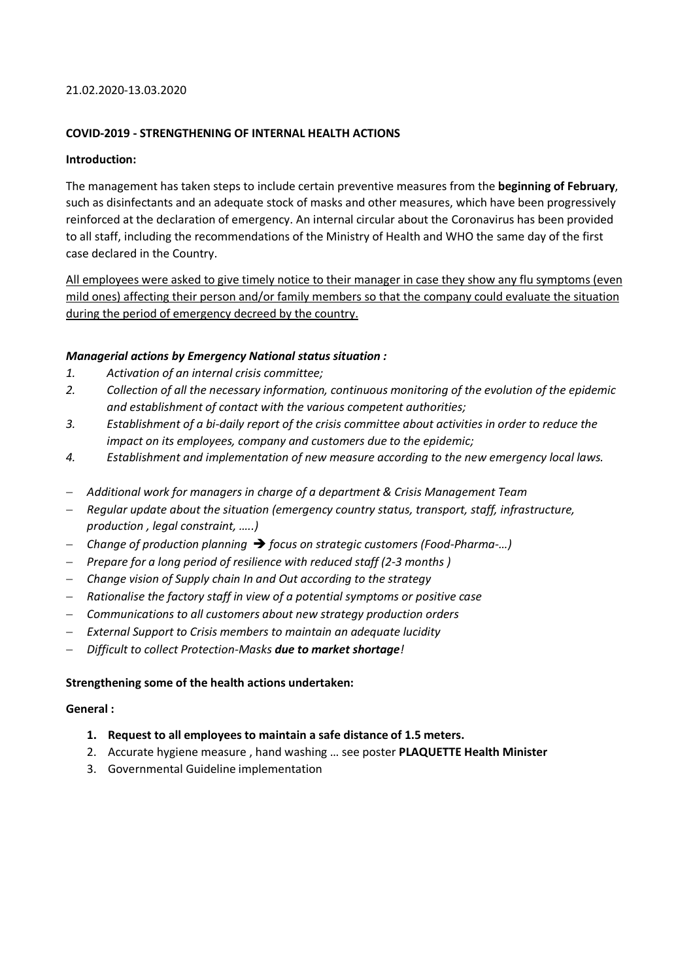### 21.02.2020-13.03.2020

# **COVID-2019 - STRENGTHENING OF INTERNAL HEALTH ACTIONS**

# **Introduction:**

The management has taken steps to include certain preventive measures from the **beginning of February**, such as disinfectants and an adequate stock of masks and other measures, which have been progressively reinforced at the declaration of emergency. An internal circular about the Coronavirus has been provided to all staff, including the recommendations of the Ministry of Health and WHO the same day of the first case declared in the Country.

All employees were asked to give timely notice to their manager in case they show any flu symptoms (even mild ones) affecting their person and/or family members so that the company could evaluate the situation during the period of emergency decreed by the country.

# *Managerial actions by Emergency National status situation :*

- *1. Activation of an internal crisis committee;*
- *2. Collection of all the necessary information, continuous monitoring of the evolution of the epidemic and establishment of contact with the various competent authorities;*
- *3. Establishment of a bi-daily report of the crisis committee about activities in order to reduce the impact on its employees, company and customers due to the epidemic;*
- *4. Establishment and implementation of new measure according to the new emergency local laws.*
- *Additional work for managers in charge of a department & Crisis Management Team*
- *Regular update about the situation (emergency country status, transport, staff, infrastructure, production , legal constraint, …..)*
- *Change of production planning* è *focus on strategic customers (Food-Pharma-…)*
- *Prepare for a long period of resilience with reduced staff (2-3 months )*
- *Change vision of Supply chain In and Out according to the strategy*
- *Rationalise the factory staff in view of a potential symptoms or positive case*
- *Communications to all customers about new strategy production orders*
- *External Support to Crisis members to maintain an adequate lucidity*
- *Difficult to collect Protection-Masks due to market shortage!*

### **Strengthening some of the health actions undertaken:**

### **General :**

- **1. Request to all employees to maintain a safe distance of 1.5 meters.**
- 2. Accurate hygiene measure , hand washing … see poster **PLAQUETTE Health Minister**
- 3. Governmental Guideline implementation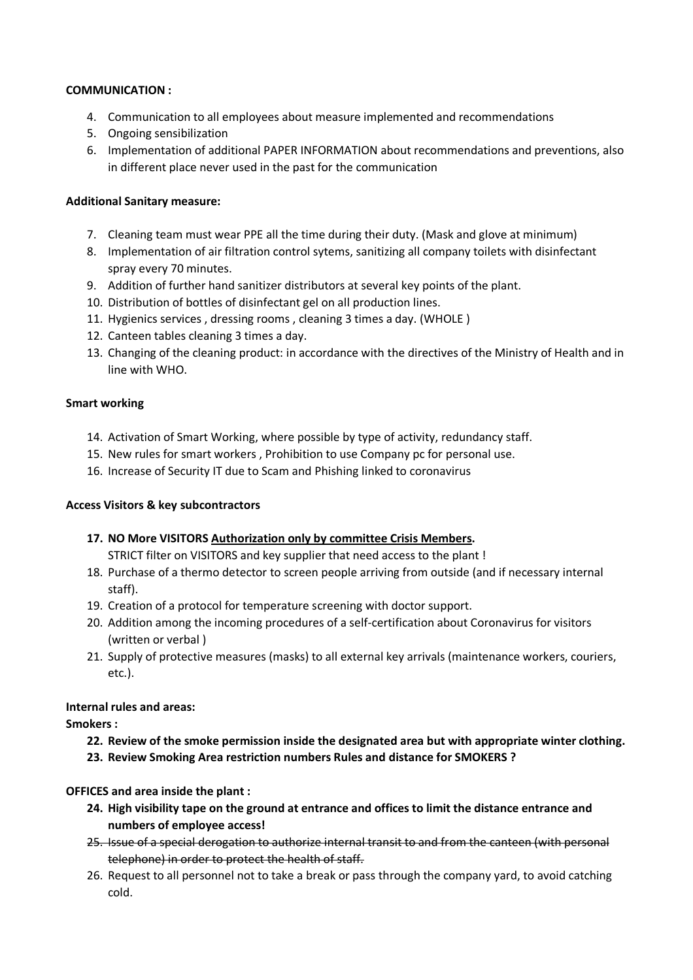# **COMMUNICATION :**

- 4. Communication to all employees about measure implemented and recommendations
- 5. Ongoing sensibilization
- 6. Implementation of additional PAPER INFORMATION about recommendations and preventions, also in different place never used in the past for the communication

# **Additional Sanitary measure:**

- 7. Cleaning team must wear PPE all the time during their duty. (Mask and glove at minimum)
- 8. Implementation of air filtration control sytems, sanitizing all company toilets with disinfectant spray every 70 minutes.
- 9. Addition of further hand sanitizer distributors at several key points of the plant.
- 10. Distribution of bottles of disinfectant gel on all production lines.
- 11. Hygienics services , dressing rooms , cleaning 3 times a day. (WHOLE )
- 12. Canteen tables cleaning 3 times a day.
- 13. Changing of the cleaning product: in accordance with the directives of the Ministry of Health and in line with WHO.

# **Smart working**

- 14. Activation of Smart Working, where possible by type of activity, redundancy staff.
- 15. New rules for smart workers , Prohibition to use Company pc for personal use.
- 16. Increase of Security IT due to Scam and Phishing linked to coronavirus

# **Access Visitors & key subcontractors**

**17. NO More VISITORS Authorization only by committee Crisis Members.**

STRICT filter on VISITORS and key supplier that need access to the plant !

- 18. Purchase of a thermo detector to screen people arriving from outside (and if necessary internal staff).
- 19. Creation of a protocol for temperature screening with doctor support.
- 20. Addition among the incoming procedures of a self-certification about Coronavirus for visitors (written or verbal )
- 21. Supply of protective measures (masks) to all external key arrivals (maintenance workers, couriers, etc.).

# **Internal rules and areas:**

**Smokers :**

- **22. Review of the smoke permission inside the designated area but with appropriate winter clothing.**
- **23. Review Smoking Area restriction numbers Rules and distance for SMOKERS ?**

# **OFFICES and area inside the plant :**

- **24. High visibility tape on the ground at entrance and offices to limit the distance entrance and numbers of employee access!**
- 25. Issue of a special derogation to authorize internal transit to and from the canteen (with personal telephone) in order to protect the health of staff.
- 26. Request to all personnel not to take a break or pass through the company yard, to avoid catching cold.